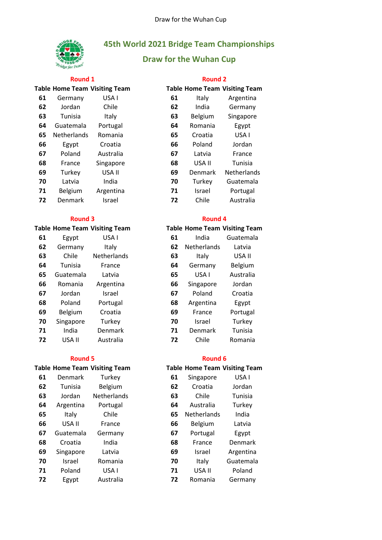

# **45th World 2021 Bridge Team Championships**

# **Draw for the Wuhan Cup**

## **Round 1 Round 2**

## **Table Home Team Visiting Team**<br> **Cable** Germany **JISA LISA** Germany

| .u | OCHILIAHY          | ורש       | UT | ιιαιν   | AIRCHUIM    |
|----|--------------------|-----------|----|---------|-------------|
| 62 | Jordan             | Chile     | 62 | India   | Germany     |
| 63 | Tunisia            | Italy     | 63 | Belgium | Singapore   |
| 64 | Guatemala          | Portugal  | 64 | Romania | Egypt       |
| 65 | <b>Netherlands</b> | Romania   | 65 | Croatia | USA I       |
| 66 | Egypt              | Croatia   | 66 | Poland  | Jordan      |
| 67 | Poland             | Australia | 67 | Latvia  | France      |
| 68 | France             | Singapore | 68 | USA II  | Tunisia     |
| 69 | Turkey             | USA II    | 69 | Denmark | Netherlands |
| 70 | Latvia             | India     | 70 | Turkey  | Guatemala   |
| 71 | Belgium            | Argentina | 71 | Israel  | Portugal    |
| 72 | Denmark            | Israel    | 72 | Chile   | Australia   |

## **Round 3 Round 4**

| 61 | Egypt     | USA I          | 61 | India              | Guatemal  |
|----|-----------|----------------|----|--------------------|-----------|
| 62 | Germany   | Italy          | 62 | <b>Netherlands</b> | Latvia    |
| 63 | Chile     | Netherlands    | 63 | Italy              | USA II    |
| 64 | Tunisia   | France         | 64 | Germany            | Belgium   |
| 65 | Guatemala | Latvia         | 65 | USA I              | Australia |
| 66 | Romania   | Argentina      | 66 | Singapore          | Jordan    |
| 67 | Jordan    | Israel         | 67 | Poland             | Croatia   |
| 68 | Poland    | Portugal       | 68 | Argentina          | Egypt     |
| 69 | Belgium   | Croatia        | 69 | France             | Portugal  |
| 70 | Singapore | Turkey         | 70 | Israel             | Turkey    |
| 71 | India     | <b>Denmark</b> | 71 | Denmark            | Tunisia   |
| 72 | USA II    | Australia      | 72 | Chile              | Romania   |

| 61 | Denmark   | Turkey      | 61 | Singapore      | USA I          |
|----|-----------|-------------|----|----------------|----------------|
| 62 | Tunisia   | Belgium     | 62 | Croatia        | Jordan         |
| 63 | Jordan    | Netherlands | 63 | Chile          | Tunisia        |
| 64 | Argentina | Portugal    | 64 | Australia      | Turkey         |
| 65 | Italy     | Chile       | 65 | Netherlands    | India          |
| 66 | USA II    | France      | 66 | <b>Belgium</b> | Latvia         |
| 67 | Guatemala | Germany     | 67 | Portugal       | Egypt          |
| 68 | Croatia   | India       | 68 | France         | <b>Denmark</b> |
| 69 | Singapore | Latvia      | 69 | Israel         | Argentina      |
| 70 | Israel    | Romania     | 70 | Italy          | Guatemala      |
| 71 | Poland    | USA I       | 71 | USA II         | Poland         |
| 72 | Egypt     | Australia   | 72 | Romania        | Germany        |
|    |           |             |    |                |                |

|    | able Home Team Visiting Team |               |    |         | <b>Table Home Team Visiting Team</b> |
|----|------------------------------|---------------|----|---------|--------------------------------------|
| 61 | Germany                      | USA I         | 61 | Italy   | Argentina                            |
| 62 | Jordan                       | Chile         | 62 | India   | Germany                              |
| 63 | Tunisia                      | Italy         | 63 | Belgium | Singapore                            |
| 64 | Guatemala                    | Portugal      | 64 | Romania | Egypt                                |
| 65 | Netherlands                  | Romania       | 65 | Croatia | USA I                                |
| 66 | Egypt                        | Croatia       | 66 | Poland  | Jordan                               |
| 67 | Poland                       | Australia     | 67 | Latvia  | France                               |
| 68 | France                       | Singapore     | 68 | USA II  | Tunisia                              |
| 69 | Turkey                       | USA II        | 69 | Denmark | Netherlands                          |
| 70 | Latvia                       | India         | 70 | Turkey  | Guatemala                            |
| 71 | Belgium                      | Argentina     | 71 | Israel  | Portugal                             |
| 72 | Denmark                      | <b>Israel</b> | 72 | Chile   | Australia                            |

# **Table Home Team Visiting Team Table Home Team Visiting Team** India Guatemala Netherlands Latvia

| 63 | Italy     | USA II    |
|----|-----------|-----------|
| 64 | Germany   | Belgium   |
| 65 | USA I     | Australia |
| 66 | Singapore | Jordan    |
| 67 | Poland    | Croatia   |
| 68 | Argentina | Egypt     |
| 69 | France    | Portugal  |
| 70 | Israel    | Turkey    |
| 71 | Denmark   | Tunisia   |
| 72 | Chile     | Romania   |

## **Round 5 Round 6**

## **Table Home Team Visiting Team Table Home Team Visiting Team**

| 61 | Singapore   | USA I     |
|----|-------------|-----------|
| 62 | Croatia     | Jordan    |
| 63 | Chile       | Tunisia   |
| 64 | Australia   | Turkey    |
| 65 | Netherlands | India     |
| 66 | Belgium     | Latvia    |
| 67 | Portugal    | Egypt     |
| 68 | France      | Denmark   |
| 69 | Israel      | Argentina |
| 70 | Italy       | Guatemala |
| 71 | USA II      | Poland    |
| 72 | Romania     | Germany   |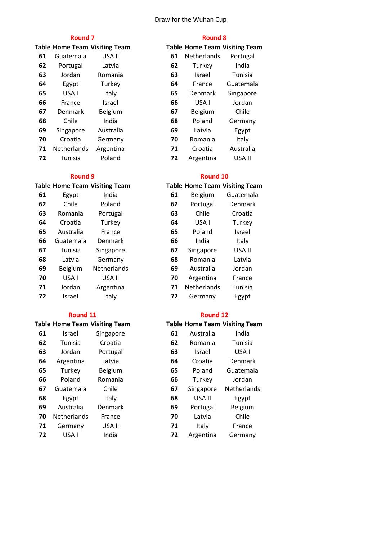## Draw for the Wuhan Cup

| 61 | Guatemala      | USA II    | 61 | Netherlands    | Portugal  |
|----|----------------|-----------|----|----------------|-----------|
| 62 | Portugal       | Latvia    | 62 | Turkey         | India     |
| 63 | Jordan         | Romania   | 63 | Israel         | Tunisia   |
| 64 | Egypt          | Turkey    | 64 | France         | Guatemala |
| 65 | USA I          | Italy     | 65 | Denmark        | Singapore |
| 66 | France         | Israel    | 66 | USA I          | Jordan    |
| 67 | <b>Denmark</b> | Belgium   | 67 | <b>Belgium</b> | Chile     |
| 68 | Chile          | India     | 68 | Poland         | Germany   |
| 69 | Singapore      | Australia | 69 | Latvia         | Egypt     |
| 70 | Croatia        | Germany   | 70 | Romania        | Italy     |
| 71 | Netherlands    | Argentina | 71 | Croatia        | Australia |
| 72 | Tunisia        | Poland    | 72 | Argentina      | USA II    |

# Egypt India **61** Belgium Guatemala Chile Poland **62** Portugal Denmark Romania Portugal Croatia Turkey **64** USA I Turkey Australia France

|    | uuatemala | DEITHICH    | υu | 11 I U I A  | πιαιγ   |
|----|-----------|-------------|----|-------------|---------|
| 67 | Tunisia   | Singapore   | 67 | Singapore   | USA II  |
| 68 | Latvia    | Germany     | 68 | Romania     | Latvia  |
| 69 | Belgium   | Netherlands | 69 | Australia   | Jordan  |
| 70 | USA I     | USA II      | 70 | Argentina   | France  |
| 71 | Jordan    | Argentina   | 71 | Netherlands | Tunisia |
| 72 | Israel    | Italy       | 72 | Germany     | Egypt   |

|    |       | Table Home Team Visiting Team |
|----|-------|-------------------------------|
| 61 | امصعا | <b>Cinganora</b>              |

| UI | 131 aci            | <b>JIIIRADULE</b> | vı | Ausu ana      | 11 I U I O |
|----|--------------------|-------------------|----|---------------|------------|
| 62 | Tunisia            | Croatia           | 62 | Romania       | Tunisia    |
| 63 | Jordan             | Portugal          | 63 | <b>Israel</b> | USA I      |
| 64 | Argentina          | Latvia            | 64 | Croatia       | Denmar     |
| 65 | Turkey             | Belgium           | 65 | Poland        | Guatema    |
| 66 | Poland             | Romania           | 66 | Turkey        | Jordan     |
| 67 | Guatemala          | Chile             | 67 | Singapore     | Netherlar  |
| 68 | Egypt              | Italy             | 68 | USA II        | Egypt      |
| 69 | Australia          | Denmark           | 69 | Portugal      | Belgiun    |
| 70 | <b>Netherlands</b> | France            | 70 | Latvia        | Chile      |
| 71 | Germany            | USA II            | 71 | Italy         | France     |
| 72 | USA I              | India             | 72 | Argentina     | German     |
|    |                    |                   |    |               |            |

| <b>Round 7</b> |                                      |           |    | <b>Round 8</b>                       |           |  |
|----------------|--------------------------------------|-----------|----|--------------------------------------|-----------|--|
|                | <b>Table Home Team Visiting Team</b> |           |    | <b>Table Home Team Visiting Team</b> |           |  |
| 61             | Guatemala                            | USA II    | 61 | Netherlands                          | Portugal  |  |
| 62             | Portugal                             | Latvia    | 62 | Turkey                               | India     |  |
| 63             | Jordan                               | Romania   | 63 | Israel                               | Tunisia   |  |
| 64             | Egypt                                | Turkey    | 64 | France                               | Guatemala |  |
| 65             | USA I                                | Italy     | 65 | Denmark                              | Singapore |  |
| 66             | France                               | Israel    | 66 | USA I                                | Jordan    |  |
| 67             | <b>Denmark</b>                       | Belgium   | 67 | Belgium                              | Chile     |  |
| 68             | Chile                                | India     | 68 | Poland                               | Germany   |  |
| 69             | Singapore                            | Australia | 69 | Latvia                               | Egypt     |  |
| 70             | Croatia                              | Germany   | 70 | Romania                              | Italy     |  |
| 71             | <b>Netherlands</b>                   | Argentina | 71 | Croatia                              | Australia |  |
| 72             | Tunisia                              | Poland    | 72 | Argentina                            | USA II    |  |

## **Round 9 Round 10**

## **Table Home Team Visiting Team Table Home Team Visiting Team**

| 61 | Egypt     | India              | 61 | Belgium     | Guatemala |
|----|-----------|--------------------|----|-------------|-----------|
| 62 | Chile     | Poland             | 62 | Portugal    | Denmark   |
| 63 | Romania   | Portugal           | 63 | Chile       | Croatia   |
| 64 | Croatia   | Turkey             | 64 | USA I       | Turkey    |
| 65 | Australia | France             | 65 | Poland      | Israel    |
| 66 | Guatemala | Denmark            | 66 | India       | Italy     |
| 67 | Tunisia   | Singapore          | 67 | Singapore   | USA II    |
| 68 | Latvia    | Germany            | 68 | Romania     | Latvia    |
| 69 | Belgium   | <b>Netherlands</b> | 69 | Australia   | Jordan    |
| 70 | USA I     | USA II             | 70 | Argentina   | France    |
| 71 | Jordan    | Argentina          | 71 | Netherlands | Tunisia   |
| 72 | Israel    | Italy              | 72 | Germany     | Egypt     |

## **Round 11 Round 12**

# **Table Home Team Visiting Team Table Home Team Visiting Team** Israel Singapore **61** Australia India Croatia Denmark Poland Guatemala Singapore Netherlands Portugal Belgium Argentina Germany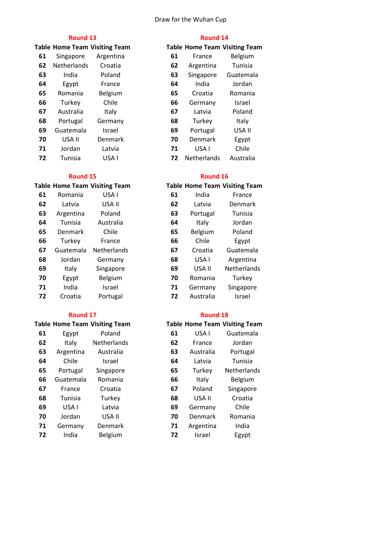## Draw for the Wuhan Cup

## **Round 13 Round 14**

|    |             | <b>Table Home Team Visiting Team</b> |    | <b>Table Home Team Visiting Tear</b> |               |
|----|-------------|--------------------------------------|----|--------------------------------------|---------------|
| 61 | Singapore   | Argentina                            | 61 | France                               | Belgium       |
| 62 | Netherlands | Croatia                              | 62 | Argentina                            | Tunisia       |
| 63 | India       | Poland                               | 63 | Singapore                            | Guatemala     |
| 64 | Egypt       | France                               | 64 | India                                | Jordan        |
| 65 | Romania     | Belgium                              | 65 | Croatia                              | Romania       |
| 66 | Turkey      | Chile                                | 66 | Germany                              | <b>Israel</b> |
| 67 | Australia   | Italy                                | 67 | Latvia                               | Poland        |
| 68 | Portugal    | Germany                              | 68 | Turkey                               | Italy         |
| 69 | Guatemala   | Israel                               | 69 | Portugal                             | USA II        |
| 70 | USA II      | Denmark                              | 70 | Denmark                              | Egypt         |
| 71 | Jordan      | Latvia                               | 71 | USA I                                | Chile         |
| 72 | Tunisia     | USA I                                | 72 | <b>Netherlands</b>                   | Australia     |

|    |                | Table Home Team Visiting Team |    |           | Table Home Team Visiting Tean |
|----|----------------|-------------------------------|----|-----------|-------------------------------|
| 61 | Romania        | USA I                         | 61 | India     | France                        |
| 62 | Latvia         | USA II                        | 62 | Latvia    | Denmark                       |
| 63 | Argentina      | Poland                        | 63 | Portugal  | Tunisia                       |
| 64 | Tunisia        | Australia                     | 64 | Italy     | Jordan                        |
| 65 | <b>Denmark</b> | Chile                         | 65 | Belgium   | Poland                        |
| 66 | Turkey         | France                        | 66 | Chile     | Egypt                         |
| 67 | Guatemala      | Netherlands                   | 67 | Croatia   | Guatemala                     |
| 68 | Jordan         | Germany                       | 68 | USA I     | Argentina                     |
| 69 | Italy          | Singapore                     | 69 | USA II    | Netherlands                   |
| 70 | Egypt          | <b>Belgium</b>                | 70 | Romania   | Turkey                        |
| 71 | India          | Israel                        | 71 | Germany   | Singapore                     |
| 72 | Croatia        | Portugal                      | 72 | Australia | Israel                        |
|    |                |                               |    |           |                               |

|    |           | <b>Table Home Team Visiting Team</b> |    |           | <b>Table Home Team Visiting Tean</b> |
|----|-----------|--------------------------------------|----|-----------|--------------------------------------|
| 61 | Egypt     | Poland                               | 61 | USA I     | Guatemala                            |
| 62 | Italy     | Netherlands                          | 62 | France    | Jordan                               |
| 63 | Argentina | Australia                            | 63 | Australia | Portugal                             |
| 64 | Chile     | <b>Israel</b>                        | 64 | Latvia    | Tunisia                              |
| 65 | Portugal  | Singapore                            | 65 | Turkey    | Netherlands                          |
| 66 | Guatemala | Romania                              | 66 | Italy     | <b>Belgium</b>                       |

|    | uuuunuu | 11011101110 | vv | 1 LU I V  | <b>DUISIUIII</b> |
|----|---------|-------------|----|-----------|------------------|
| 67 | France  | Croatia     | 67 | Poland    | Singapore        |
| 68 | Tunisia | Turkey      | 68 | USA II    | Croatia          |
| 69 | USA I   | Latvia      | 69 | Germany   | Chile            |
| 70 | Jordan  | USA II      | 70 | Denmark   | Romania          |
| 71 | Germany | Denmark     | 71 | Argentina | India            |
| 72 | India   | Belgium     | 72 | Israel    | Egypt            |

|    |             | <b>Fable Home Team Visiting Team</b> |
|----|-------------|--------------------------------------|
| 61 | France      | Belgium                              |
| 62 | Argentina   | Tunisia                              |
| 63 | Singapore   | Guatemala                            |
| 64 | India       | Jordan                               |
| 65 | Croatia     | Romania                              |
| 66 | Germany     | Israel                               |
| 67 | Latvia      | Poland                               |
| 68 | Turkey      | Italy                                |
| 69 | Portugal    | USA II                               |
| 70 | Denmark     | Egypt                                |
| 71 | USA I       | Chile                                |
| 72 | Netherlands | Australia                            |

## **Round 15 Round 16**

# **Table Home Team Visiting Team Table Home Team Visiting Team**

| 61 | India     | France      |
|----|-----------|-------------|
| 62 | Latvia    | Denmark     |
| 63 | Portugal  | Tunisia     |
| 64 | Italy     | Jordan      |
| 65 | Belgium   | Poland      |
| 66 | Chile     | Egypt       |
| 67 | Croatia   | Guatemala   |
| 68 | USA I     | Argentina   |
| 69 | USA II    | Netherlands |
| 70 | Romania   | Turkey      |
| 71 | Germany   | Singapore   |
| 72 | Australia | Israel      |

## **Round 17 Round 18**

|    |           | <b>Fable Home Team Visiting Team</b> |
|----|-----------|--------------------------------------|
| 61 | USA I     | Guatemala                            |
| 62 | France    | Jordan                               |
| 63 | Australia | Portugal                             |
| 64 | Latvia    | Tunisia                              |
| 65 | Turkey    | Netherlands                          |
| 66 | Italy     | Belgium                              |
| 67 | Poland    | Singapore                            |
| 68 | USA II    | Croatia                              |
| 69 | Germany   | Chile                                |
| 70 | Denmark   | Romania                              |
| 71 | Argentina | India                                |
| 72 | Israel    | Egypt                                |
|    |           |                                      |